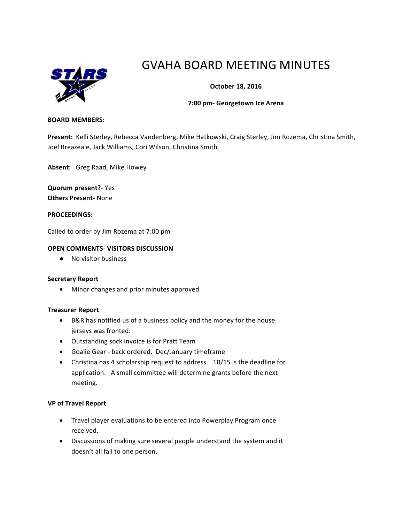

# GVAHA BOARD MEETING MINUTES

# **October 18, 2016**

## **7:00 pm- Georgetown Ice Arena**

#### **BOARD MEMBERS:**

Present: Kelli Sterley, Rebecca Vandenberg, Mike Hatkowski, Craig Sterley, Jim Rozema, Christina Smith, Joel Breazeale, Jack Williams, Cori Wilson, Christina Smith

Absent: Greg Raad, Mike Howey

**Quorum present?**- Yes **Others Present-** None

### **PROCEEDINGS:**

Called to order by Jim Rozema at 7:00 pm

## **OPEN COMMENTS- VISITORS DISCUSSION**

● No visitor business

### **Secretary Report**

• Minor changes and prior minutes approved

### **Treasurer Report**

- B&R has notified us of a business policy and the money for the house jerseys was fronted.
- Outstanding sock invoice is for Pratt Team
- Goalie Gear back ordered. Dec/January timeframe
- Christina has 4 scholarship request to address.  $10/15$  is the deadline for application. A small committee will determine grants before the next meeting.

### **VP of Travel Report**

- Travel player evaluations to be entered into Powerplay Program once received.
- Discussions of making sure several people understand the system and it doesn't all fall to one person.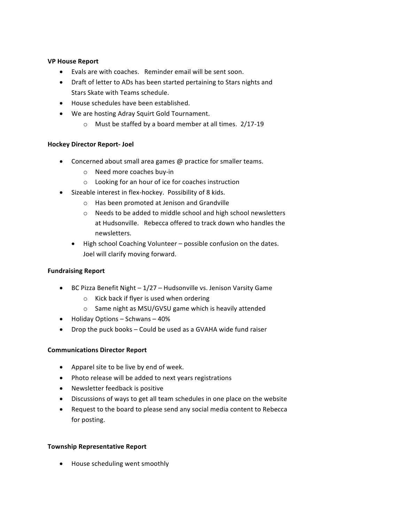## **VP House Report**

- $\bullet$  Evals are with coaches. Reminder email will be sent soon.
- Draft of letter to ADs has been started pertaining to Stars nights and Stars Skate with Teams schedule.
- House schedules have been established.
- We are hosting Adray Squirt Gold Tournament.
	- $\circ$  Must be staffed by a board member at all times. 2/17-19

## **Hockey Director Report- Joel**

- Concerned about small area games  $@$  practice for smaller teams.
	- $\circ$  Need more coaches buy-in
	- $\circ$  Looking for an hour of ice for coaches instruction
- Sizeable interest in flex-hockey. Possibility of 8 kids.
	- o Has been promoted at Jenison and Grandville
	- $\circ$  Needs to be added to middle school and high school newsletters at Hudsonville. Rebecca offered to track down who handles the newsletters.
	- High school Coaching Volunteer possible confusion on the dates. Joel will clarify moving forward.

# **Fundraising Report**

- BC Pizza Benefit Night  $-1/27$  Hudsonville vs. Jenison Varsity Game
	- $\circ$  Kick back if flyer is used when ordering
	- $\circ$  Same night as MSU/GVSU game which is heavily attended
- $\bullet$  Holiday Options Schwans 40%
- Drop the puck books  $-$  Could be used as a GVAHA wide fund raiser

# **Communications Director Report**

- Apparel site to be live by end of week.
- Photo release will be added to next years registrations
- Newsletter feedback is positive
- Discussions of ways to get all team schedules in one place on the website
- Request to the board to please send any social media content to Rebecca for posting.

# **Township Representative Report**

• House scheduling went smoothly